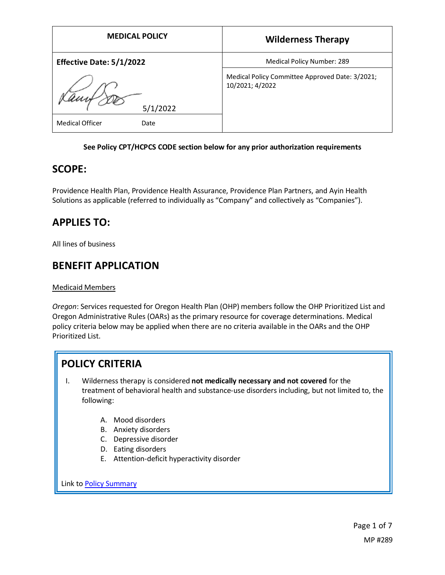| <b>MEDICAL POLICY</b>          | <b>Wilderness Therapy</b>                                          |
|--------------------------------|--------------------------------------------------------------------|
| Effective Date: 5/1/2022       | Medical Policy Number: 289                                         |
| 5/1/2022                       | Medical Policy Committee Approved Date: 3/2021;<br>10/2021; 4/2022 |
| <b>Medical Officer</b><br>Date |                                                                    |

### **See Policy CPT/HCPCS CODE section below for any prior authorization requirements**

### **SCOPE:**

Providence Health Plan, Providence Health Assurance, Providence Plan Partners, and Ayin Health Solutions as applicable (referred to individually as "Company" and collectively as "Companies").

# **APPLIES TO:**

All lines of business

## **BENEFIT APPLICATION**

Medicaid Members

*Oregon*: Services requested for Oregon Health Plan (OHP) members follow the OHP Prioritized List and Oregon Administrative Rules (OARs) as the primary resource for coverage determinations. Medical policy criteria below may be applied when there are no criteria available in the OARs and the OHP Prioritized List.

# **POLICY CRITERIA**

- I. Wilderness therapy is considered **not medically necessary and not covered** for the treatment of behavioral health and substance-use disorders including, but not limited to, the following:
	- A. Mood disorders
	- B. Anxiety disorders
	- C. Depressive disorder
	- D. Eating disorders
	- E. Attention-deficit hyperactivity disorder

Link t[o Policy Summary](#page-5-0)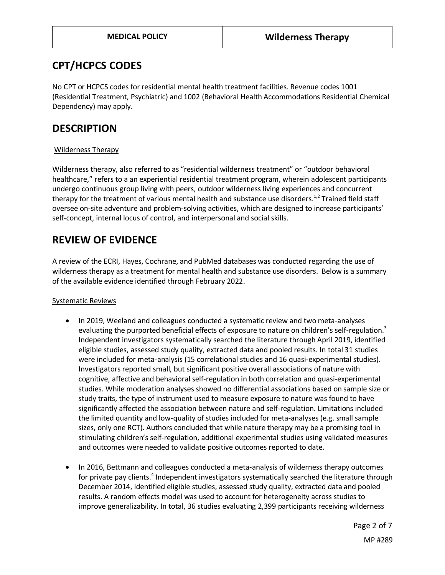## **CPT/HCPCS CODES**

No CPT or HCPCS codes for residential mental health treatment facilities. Revenue codes 1001 (Residential Treatment, Psychiatric) and 1002 (Behavioral Health Accommodations Residential Chemical Dependency) may apply.

## **DESCRIPTION**

### Wilderness Therapy

Wilderness therapy, also referred to as "residential wilderness treatment" or "outdoor behavioral healthcare," refers to a an experiential residential treatment program, wherein adolescent participants undergo continuous group living with peers, outdoor wilderness living experiences and concurrent therapy for the treatment of various mental health and substance use disorders.<sup>1,2</sup> Trained field staff oversee on-site adventure and problem-solving activities, which are designed to increase participants' self-concept, internal locus of control, and interpersonal and social skills.

# **REVIEW OF EVIDENCE**

A review of the ECRI, Hayes, Cochrane, and PubMed databases was conducted regarding the use of wilderness therapy as a treatment for mental health and substance use disorders. Below is a summary of the available evidence identified through February 2022.

### Systematic Reviews

- In 2019, Weeland and colleagues conducted a systematic review and two meta-analyses evaluating the purported beneficial effects of exposure to nature on children's self-regulation.<sup>3</sup> Independent investigators systematically searched the literature through April 2019, identified eligible studies, assessed study quality, extracted data and pooled results. In total 31 studies were included for meta-analysis (15 correlational studies and 16 quasi-experimental studies). Investigators reported small, but significant positive overall associations of nature with cognitive, affective and behavioral self-regulation in both correlation and quasi-experimental studies. While moderation analyses showed no differential associations based on sample size or study traits, the type of instrument used to measure exposure to nature was found to have significantly affected the association between nature and self-regulation. Limitations included the limited quantity and low-quality of studies included for meta-analyses (e.g. small sample sizes, only one RCT). Authors concluded that while nature therapy may be a promising tool in stimulating children's self-regulation, additional experimental studies using validated measures and outcomes were needed to validate positive outcomes reported to date.
- In 2016, Bettmann and colleagues conducted a meta-analysis of wilderness therapy outcomes for private pay clients.<sup>4</sup> Independent investigators systematically searched the literature through December 2014, identified eligible studies, assessed study quality, extracted data and pooled results. A random effects model was used to account for heterogeneity across studies to improve generalizability. In total, 36 studies evaluating 2,399 participants receiving wilderness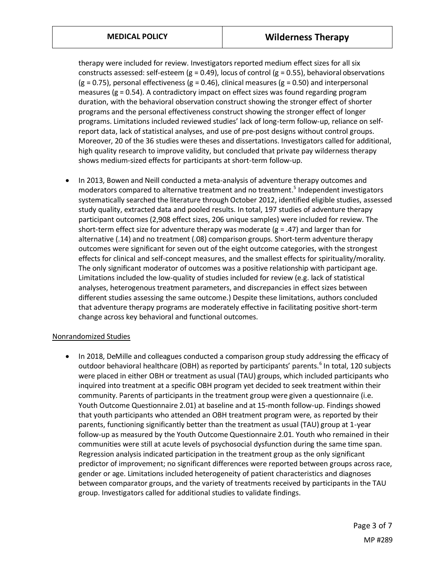therapy were included for review. Investigators reported medium effect sizes for all six constructs assessed: self-esteem (g = 0.49), locus of control (g = 0.55), behavioral observations  $(g = 0.75)$ , personal effectiveness  $(g = 0.46)$ , clinical measures  $(g = 0.50)$  and interpersonal measures ( $g = 0.54$ ). A contradictory impact on effect sizes was found regarding program duration, with the behavioral observation construct showing the stronger effect of shorter programs and the personal effectiveness construct showing the stronger effect of longer programs. Limitations included reviewed studies' lack of long-term follow-up, reliance on selfreport data, lack of statistical analyses, and use of pre-post designs without control groups. Moreover, 20 of the 36 studies were theses and dissertations. Investigators called for additional, high quality research to improve validity, but concluded that private pay wilderness therapy shows medium-sized effects for participants at short-term follow-up.

• In 2013, Bowen and Neill conducted a meta-analysis of adventure therapy outcomes and moderators compared to alternative treatment and no treatment. 5 Independent investigators systematically searched the literature through October 2012, identified eligible studies, assessed study quality, extracted data and pooled results. In total, 197 studies of adventure therapy participant outcomes (2,908 effect sizes, 206 unique samples) were included for review. The short-term effect size for adventure therapy was moderate  $(g = .47)$  and larger than for alternative (.14) and no treatment (.08) comparison groups. Short-term adventure therapy outcomes were significant for seven out of the eight outcome categories, with the strongest effects for clinical and self-concept measures, and the smallest effects for spirituality/morality. The only significant moderator of outcomes was a positive relationship with participant age. Limitations included the low-quality of studies included for review (e.g. lack of statistical analyses, heterogenous treatment parameters, and discrepancies in effect sizes between different studies assessing the same outcome.) Despite these limitations, authors concluded that adventure therapy programs are moderately effective in facilitating positive short-term change across key behavioral and functional outcomes.

### Nonrandomized Studies

• In 2018, DeMille and colleagues conducted a comparison group study addressing the efficacy of outdoor behavioral healthcare (OBH) as reported by participants' parents.<sup>6</sup> In total, 120 subjects were placed in either OBH or treatment as usual (TAU) groups, which included participants who inquired into treatment at a specific OBH program yet decided to seek treatment within their community. Parents of participants in the treatment group were given a questionnaire (i.e. Youth Outcome Questionnaire 2.01) at baseline and at 15-month follow-up. Findings showed that youth participants who attended an OBH treatment program were, as reported by their parents, functioning significantly better than the treatment as usual (TAU) group at 1-year follow-up as measured by the Youth Outcome Questionnaire 2.01. Youth who remained in their communities were still at acute levels of psychosocial dysfunction during the same time span. Regression analysis indicated participation in the treatment group as the only significant predictor of improvement; no significant differences were reported between groups across race, gender or age. Limitations included heterogeneity of patient characteristics and diagnoses between comparator groups, and the variety of treatments received by participants in the TAU group. Investigators called for additional studies to validate findings.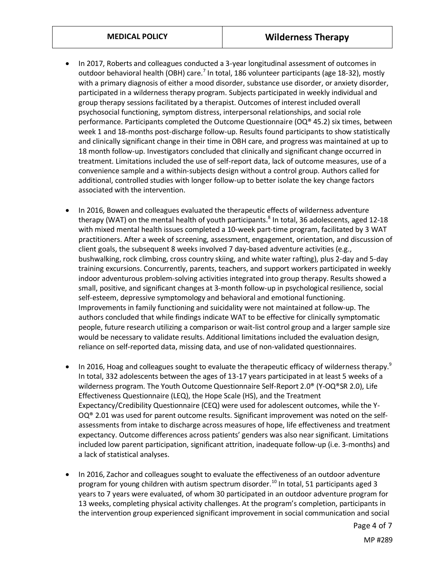- In 2017, Roberts and colleagues conducted a 3-year longitudinal assessment of outcomes in outdoor behavioral health (OBH) care.<sup>7</sup> In total, 186 volunteer participants (age 18-32), mostly with a primary diagnosis of either a mood disorder, substance use disorder, or anxiety disorder, participated in a wilderness therapy program. Subjects participated in weekly individual and group therapy sessions facilitated by a therapist. Outcomes of interest included overall psychosocial functioning, symptom distress, interpersonal relationships, and social role performance. Participants completed the Outcome Questionnaire ( $OQ^{\otimes}$  45.2) six times, between week 1 and 18-months post-discharge follow-up. Results found participants to show statistically and clinically significant change in their time in OBH care, and progress was maintained at up to 18 month follow-up. Investigators concluded that clinically and significant change occurred in treatment. Limitations included the use of self-report data, lack of outcome measures, use of a convenience sample and a within-subjects design without a control group. Authors called for additional, controlled studies with longer follow-up to better isolate the key change factors associated with the intervention.
- In 2016, Bowen and colleagues evaluated the therapeutic effects of wilderness adventure therapy (WAT) on the mental health of youth participants.<sup>8</sup> In total, 36 adolescents, aged 12-18 with mixed mental health issues completed a 10-week part-time program, facilitated by 3 WAT practitioners. After a week of screening, assessment, engagement, orientation, and discussion of client goals, the subsequent 8 weeks involved 7 day-based adventure activities (e.g., bushwalking, rock climbing, cross country skiing, and white water rafting), plus 2-day and 5-day training excursions. Concurrently, parents, teachers, and support workers participated in weekly indoor adventurous problem-solving activities integrated into group therapy. Results showed a small, positive, and significant changes at 3-month follow-up in psychological resilience, social self-esteem, depressive symptomology and behavioral and emotional functioning. Improvements in family functioning and suicidality were not maintained at follow-up. The authors concluded that while findings indicate WAT to be effective for clinically symptomatic people, future research utilizing a comparison or wait-list control group and a larger sample size would be necessary to validate results. Additional limitations included the evaluation design, reliance on self-reported data, missing data, and use of non-validated questionnaires.
- In 2016, Hoag and colleagues sought to evaluate the therapeutic efficacy of wilderness therapy.<sup>9</sup> In total, 332 adolescents between the ages of 13-17 years participated in at least 5 weeks of a wilderness program. The Youth Outcome Questionnaire Self-Report 2.0<sup>®</sup> (Y-OQ®SR 2.0), Life Effectiveness Questionnaire (LEQ), the Hope Scale (HS), and the Treatment Expectancy/Credibility Questionnaire (CEQ) were used for adolescent outcomes, while the Y- $OQ^{\circledast}$  2.01 was used for parent outcome results. Significant improvement was noted on the selfassessments from intake to discharge across measures of hope, life effectiveness and treatment expectancy. Outcome differences across patients' genders was also near significant. Limitations included low parent participation, significant attrition, inadequate follow-up (i.e. 3-months) and a lack of statistical analyses.
- In 2016, Zachor and colleagues sought to evaluate the effectiveness of an outdoor adventure program for young children with autism spectrum disorder.<sup>10</sup> In total, 51 participants aged 3 years to 7 years were evaluated, of whom 30 participated in an outdoor adventure program for 13 weeks, completing physical activity challenges. At the program's completion, participants in the intervention group experienced significant improvement in social communication and social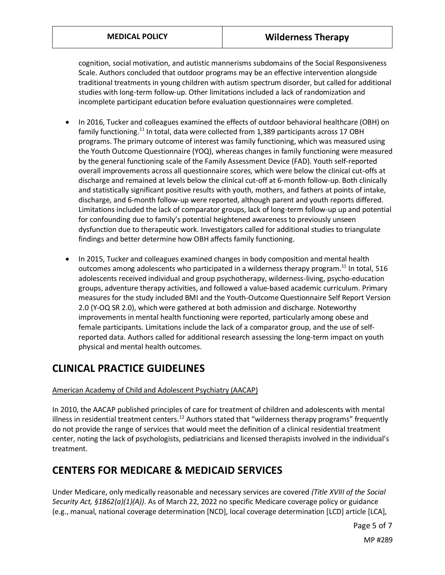cognition, social motivation, and autistic mannerisms subdomains of the Social Responsiveness Scale. Authors concluded that outdoor programs may be an effective intervention alongside traditional treatments in young children with autism spectrum disorder, but called for additional studies with long-term follow-up. Other limitations included a lack of randomization and incomplete participant education before evaluation questionnaires were completed.

- In 2016, Tucker and colleagues examined the effects of outdoor behavioral healthcare (OBH) on family functioning.<sup>11</sup> In total, data were collected from 1,389 participants across 17 OBH programs. The primary outcome of interest was family functioning, which was measured using the Youth Outcome Questionnaire (YOQ), whereas changes in family functioning were measured by the general functioning scale of the Family Assessment Device (FAD). Youth self-reported overall improvements across all questionnaire scores, which were below the clinical cut-offs at discharge and remained at levels below the clinical cut-off at 6-month follow-up. Both clinically and statistically significant positive results with youth, mothers, and fathers at points of intake, discharge, and 6-month follow-up were reported, although parent and youth reports differed. Limitations included the lack of comparator groups, lack of long-term follow-up up and potential for confounding due to family's potential heightened awareness to previously unseen dysfunction due to therapeutic work. Investigators called for additional studies to triangulate findings and better determine how OBH affects family functioning.
- In 2015, Tucker and colleagues examined changes in body composition and mental health outcomes among adolescents who participated in a wilderness therapy program. $^{11}$  In total, 516 adolescents received individual and group psychotherapy, wilderness-living, psycho-education groups, adventure therapy activities, and followed a value-based academic curriculum. Primary measures for the study included BMI and the Youth-Outcome Questionnaire Self Report Version 2.0 (Y-OQ SR 2.0), which were gathered at both admission and discharge. Noteworthy improvements in mental health functioning were reported, particularly among obese and female participants. Limitations include the lack of a comparator group, and the use of selfreported data. Authors called for additional research assessing the long-term impact on youth physical and mental health outcomes.

# **CLINICAL PRACTICE GUIDELINES**

### American Academy of Child and Adolescent Psychiatry (AACAP)

In 2010, the AACAP published principles of care for treatment of children and adolescents with mental illness in residential treatment centers.<sup>12</sup> Authors stated that "wilderness therapy programs" frequently do not provide the range of services that would meet the definition of a clinical residential treatment center, noting the lack of psychologists, pediatricians and licensed therapists involved in the individual's treatment.

### **CENTERS FOR MEDICARE & MEDICAID SERVICES**

Under Medicare, only medically reasonable and necessary services are covered *(Title XVIII of the Social Security Act, §1862(a)(1)(A))*. As of March 22, 2022 no specific Medicare coverage policy or guidance (e.g., manual, national coverage determination [NCD], local coverage determination [LCD] article [LCA],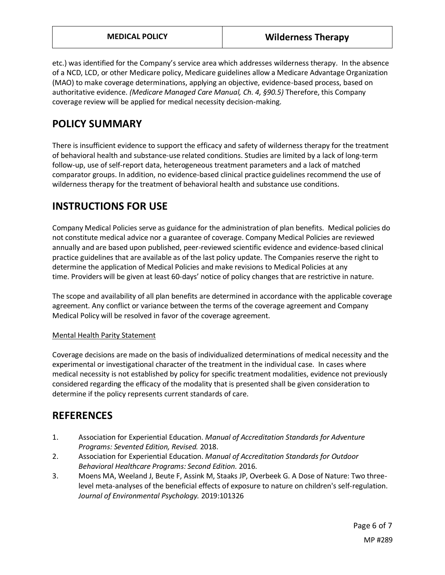etc.) was identified for the Company's service area which addresses wilderness therapy. In the absence of a NCD, LCD, or other Medicare policy, Medicare guidelines allow a Medicare Advantage Organization (MAO) to make coverage determinations, applying an objective, evidence-based process, based on authoritative evidence. *(Medicare Managed Care Manual, Ch. 4, §90.5)* Therefore, this Company coverage review will be applied for medical necessity decision-making.

### <span id="page-5-0"></span>**POLICY SUMMARY**

There is insufficient evidence to support the efficacy and safety of wilderness therapy for the treatment of behavioral health and substance-use related conditions. Studies are limited by a lack of long-term follow-up, use of self-report data, heterogeneous treatment parameters and a lack of matched comparator groups. In addition, no evidence-based clinical practice guidelines recommend the use of wilderness therapy for the treatment of behavioral health and substance use conditions.

# **INSTRUCTIONS FOR USE**

Company Medical Policies serve as guidance for the administration of plan benefits. Medical policies do not constitute medical advice nor a guarantee of coverage. Company Medical Policies are reviewed annually and are based upon published, peer-reviewed scientific evidence and evidence-based clinical practice guidelines that are available as of the last policy update. The Companies reserve the right to determine the application of Medical Policies and make revisions to Medical Policies at any time. Providers will be given at least 60-days' notice of policy changes that are restrictive in nature.

The scope and availability of all plan benefits are determined in accordance with the applicable coverage agreement. Any conflict or variance between the terms of the coverage agreement and Company Medical Policy will be resolved in favor of the coverage agreement.

### Mental Health Parity Statement

Coverage decisions are made on the basis of individualized determinations of medical necessity and the experimental or investigational character of the treatment in the individual case. In cases where medical necessity is not established by policy for specific treatment modalities, evidence not previously considered regarding the efficacy of the modality that is presented shall be given consideration to determine if the policy represents current standards of care.

### **REFERENCES**

- 1. Association for Experiential Education. *Manual of Accreditation Standards for Adventure Programs: Sevented Edition, Revised.* 2018.
- 2. Association for Experiential Education. *Manual of Accreditation Standards for Outdoor Behavioral Healthcare Programs: Second Edition.* 2016.
- 3. Moens MA, Weeland J, Beute F, Assink M, Staaks JP, Overbeek G. A Dose of Nature: Two threelevel meta-analyses of the beneficial effects of exposure to nature on children's self-regulation. *Journal of Environmental Psychology.* 2019:101326